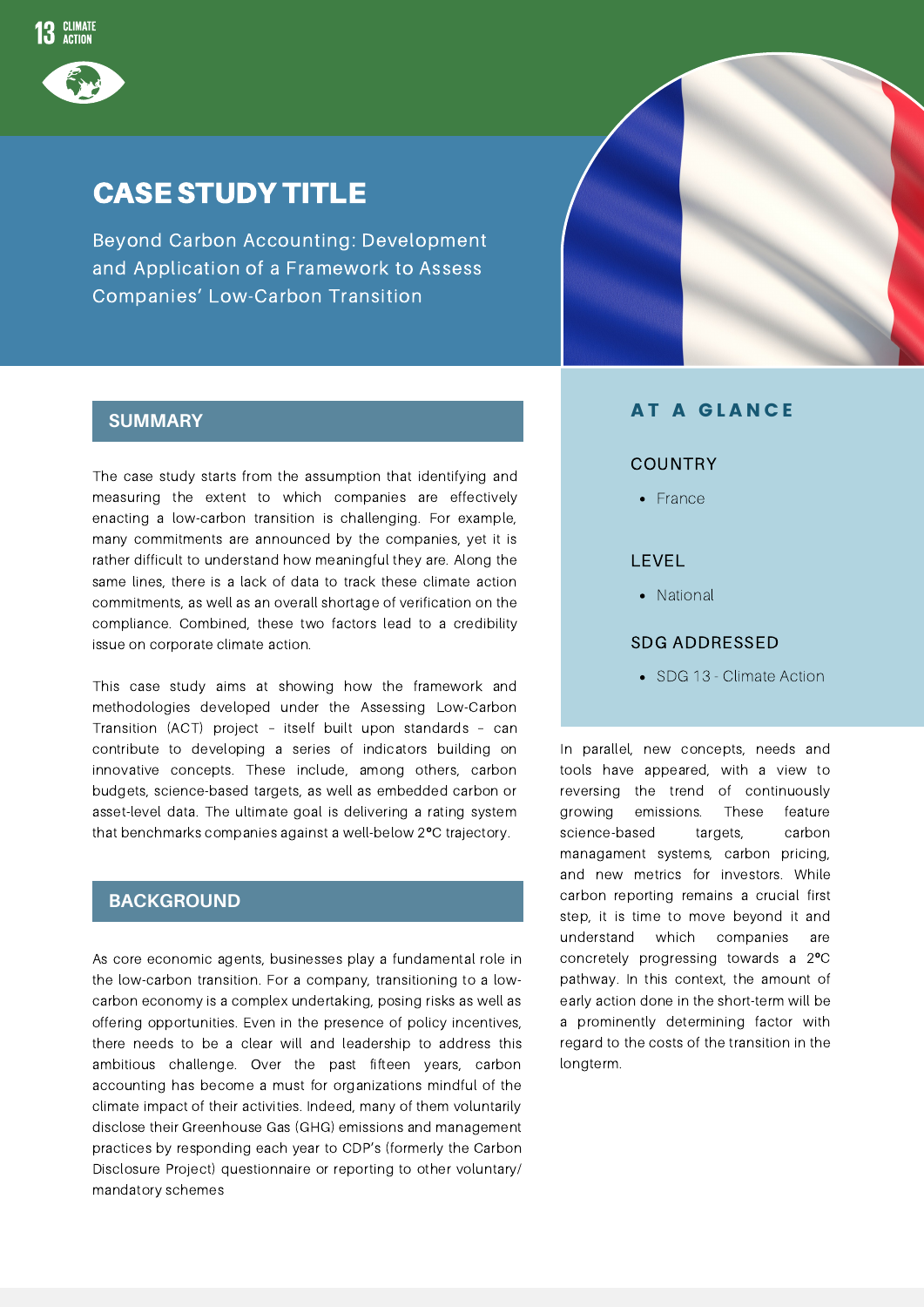

### CASE STUDY TITLE

Beyond Carbon Accounting: Development and Application of a Framework to Assess Companies' Low-Carbon Transition

#### **SUMMARY**

The case study starts from the assumption that identifying and measuring the extent to which companies are effectively enacting a low-carbon transition is challenging. For example, many commitments are announced by the companies, yet it is rather difficult to understand how meaningful they are. Along the same lines, there is a lack of data to track these climate action commitments, as well as an overall shortage of verification on the compliance. Combined, these two factors lead to a credibility issue on corporate climate action.

This case study aims at showing how the framework and methodologies developed under the Assessing Low-Carbon Transition (ACT) project – itself built upon standards – can contribute to developing a series of indicators building on innovative concepts. These include, among others, carbon budgets, science-based targets, as well as embedded carbon or asset-level data. The ultimate goal is delivering a rating system that benchmarks companies against a well-below 2**º**C trajectory.

#### **BACKGROUND**

As core economic agents, businesses play a fundamental role in the low-carbon transition. For a company, transitioning to a lowcarbon economy is a complex undertaking, posing risks as well as offering opportunities. Even in the presence of policy incentives, there needs to be a clear will and leadership to address this ambitious challenge. Over the past fifteen years, carbon accounting has become a must for organizations mindful of the climate impact of their activities. Indeed, many of them voluntarily disclose their Greenhouse Gas (GHG) emissions and management practices by responding each year to CDP's (formerly the Carbon Disclosure Project) questionnaire or reporting to other voluntary/ mandatory schemes

### **AT A GLANCE**

#### COUNTRY

• France

#### LEVEL

National

#### SDG ADDRESSED

• SDG 13 - Climate Action

In parallel, new concepts, needs and tools have appeared, with a view to reversing the trend of continuously growing emissions. These feature science-based targets, carbon managament systems, carbon pricing, and new metrics for investors. While carbon reporting remains a crucial first step, it is time to move beyond it and understand which companies are concretely progressing towards a 2**º**C pathway. In this context, the amount of early action done in the short-term will be a prominently determining factor with regard to the costs of the transition in the longterm.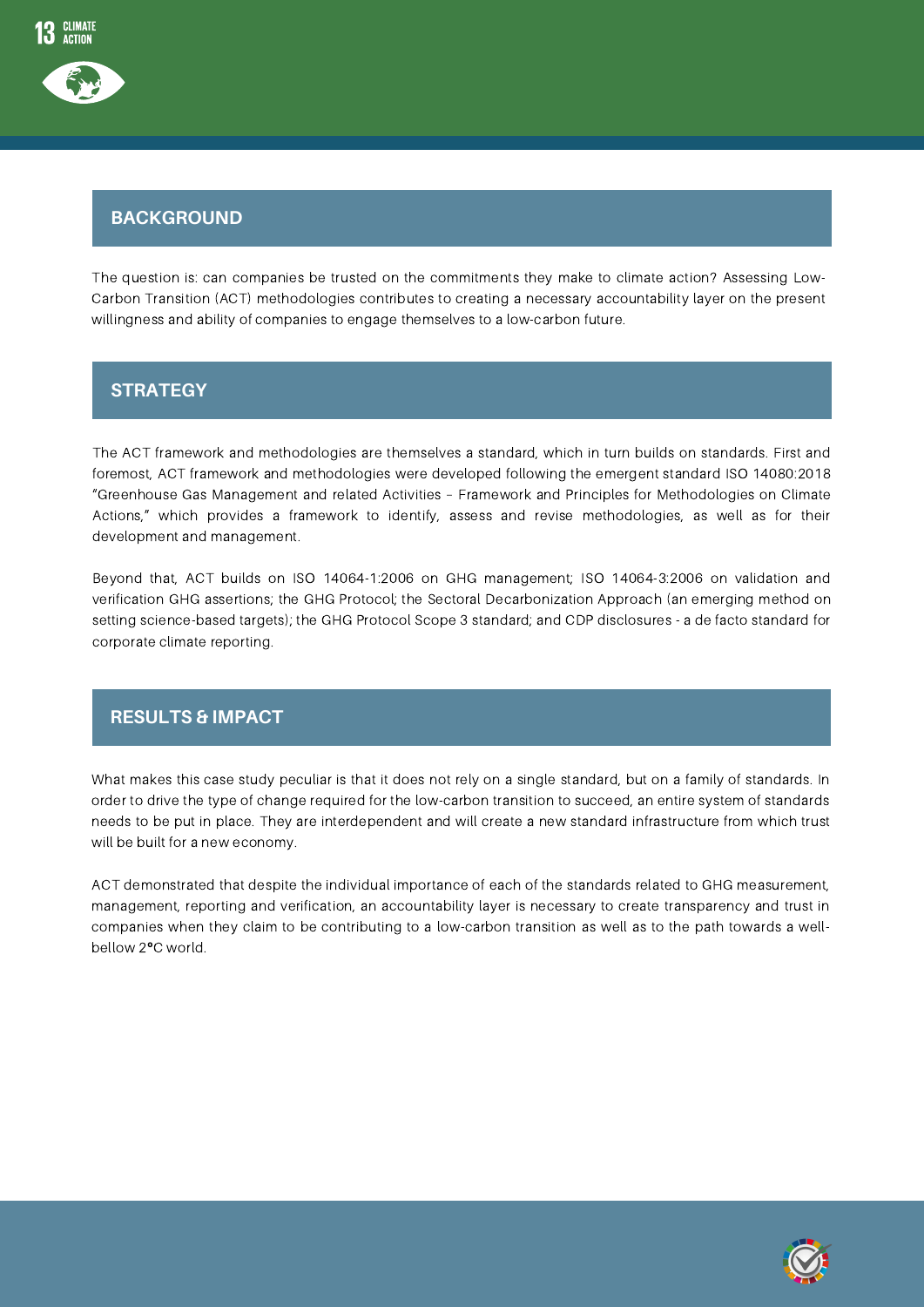

# **BACKGROUND**

The question is: can companies be trusted on the commitments they make to climate action? Assessing Low-Carbon Transition (ACT) methodologies contributes to creating a necessary accountability layer on the present willingness and ability of companies to engage themselves to a low-carbon future.

#### **STRATEGY**

The ACT framework and methodologies are themselves a standard, which in turn builds on standards. First and foremost, ACT framework and methodologies were developed following the emergent standard ISO 14080:2018 "Greenhouse Gas Management and related Activities – Framework and Principles for Methodologies on Climate Actions," which provides a framework to identify, assess and revise methodologies, as well as for their development and management.

Beyond that, ACT builds on ISO 14064-1:2006 on GHG management; ISO 14064-3:2006 on validation and verification GHG assertions; the GHG Protocol; the Sectoral Decarbonization Approach (an emerging method on setting science-based targets); the GHG Protocol Scope 3 standard; and CDP disclosures - a de facto standard for corporate climate reporting.

#### **RESULTS & IMPACT**

What makes this case study peculiar is that it does not rely on a single standard, but on a family of standards. In order to drive the type of change required for the low-carbon transition to succeed, an entire system of standards needs to be put in place. They are interdependent and will create a new standard infrastructure from which trust will be built for a new economy.

ACT demonstrated that despite the individual importance of each of the standards related to GHG measurement, management, reporting and verification, an accountability layer is necessary to create transparency and trust in companies when they claim to be contributing to a low-carbon transition as well as to the path towards a wellbellow 2**º**C world.